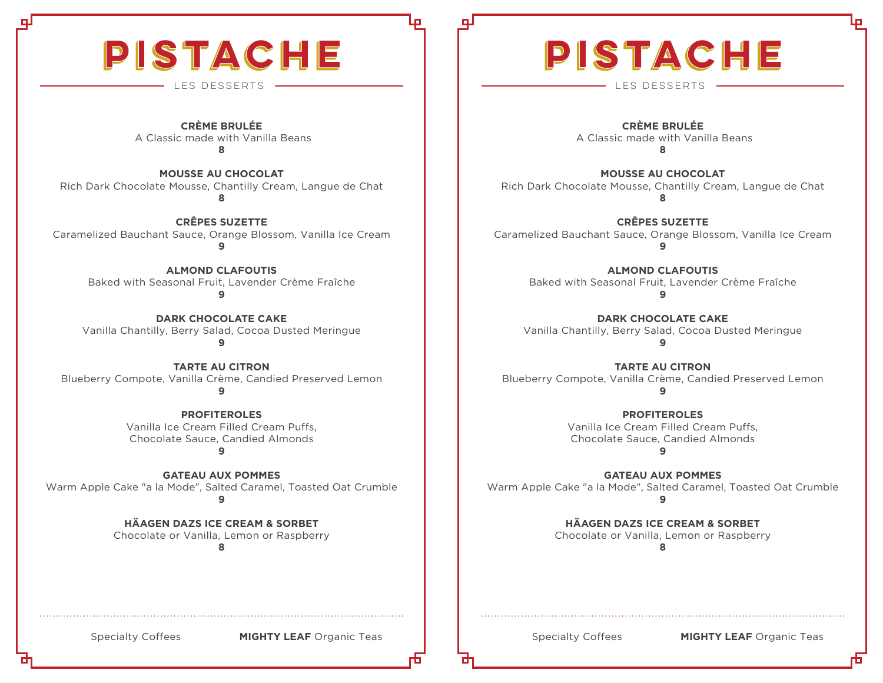# PISTACHE

**CRÈME BRULÉE** A Classic made with Vanilla Beans **8**

**MOUSSE AU CHOCOLAT** Rich Dark Chocolate Mousse, Chantilly Cream, Langue de Chat **8**

**CRÊPES SUZETTE** Caramelized Bauchant Sauce, Orange Blossom, Vanilla Ice Cream **9**

**ALMOND CLAFOUTIS** Baked with Seasonal Fruit, Lavender Crème Fraîche **9**

**DARK CHOCOLATE CAKE** Vanilla Chantilly, Berry Salad, Cocoa Dusted Meringue **9**

**TARTE AU CITRON** Blueberry Compote, Vanilla Crème, Candied Preserved Lemon **9**

> **PROFITEROLES** Vanilla Ice Cream Filled Cream Puffs, Chocolate Sauce, Candied Almonds

**9**

**GATEAU AUX POMMES**  Warm Apple Cake "a la Mode", Salted Caramel, Toasted Oat Crumble **9**

**HÄAGEN DAZS ICE CREAM & SORBET**

Chocolate or Vanilla, Lemon or Raspberry

**8**

# PISTACHE

LES DESSERTS LES DESSERTS

**CRÈME BRULÉE** A Classic made with Vanilla Beans **8**

**MOUSSE AU CHOCOLAT** Rich Dark Chocolate Mousse, Chantilly Cream, Langue de Chat **8**

**CRÊPES SUZETTE** Caramelized Bauchant Sauce, Orange Blossom, Vanilla Ice Cream **9**

> **ALMOND CLAFOUTIS** Baked with Seasonal Fruit, Lavender Crème Fraîche **9**

**DARK CHOCOLATE CAKE** Vanilla Chantilly, Berry Salad, Cocoa Dusted Meringue **9**

**TARTE AU CITRON** Blueberry Compote, Vanilla Crème, Candied Preserved Lemon **9**

> **PROFITEROLES** Vanilla Ice Cream Filled Cream Puffs, Chocolate Sauce, Candied Almonds

**9**

**GATEAU AUX POMMES**  Warm Apple Cake "a la Mode", Salted Caramel, Toasted Oat Crumble **9**

> **HÄAGEN DAZS ICE CREAM & SORBET** Chocolate or Vanilla, Lemon or Raspberry

> > **8**

Specialty Coffees **MIGHTY LEAF** Organic Teas **Nightland Contract Contract Contract Contract MIGHTY LEAF** Organic Teas